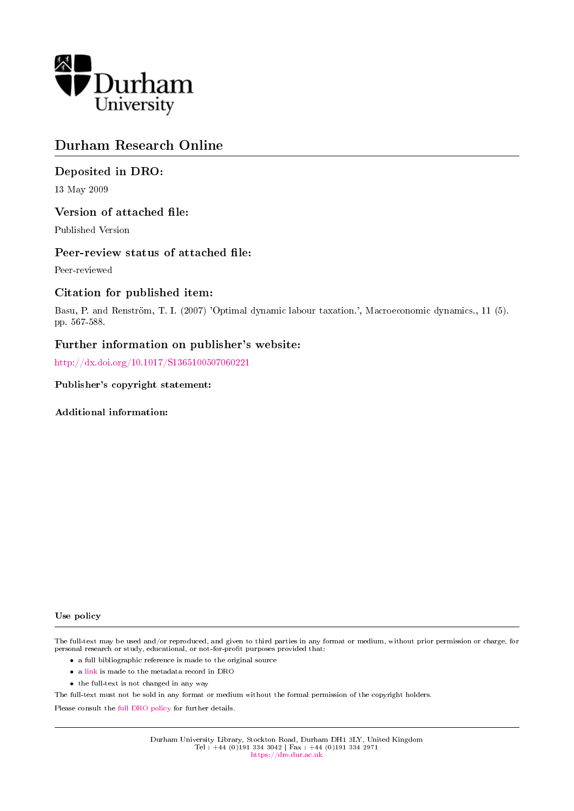

## Durham Research Online

## Deposited in DRO:

13 May 2009

## Version of attached file:

Published Version

## Peer-review status of attached file:

Peer-reviewed

## Citation for published item:

Basu, P. and Renström, T. I. (2007) 'Optimal dynamic labour taxation.', Macroeconomic dynamics., 11 (5). pp. 567-588.

## Further information on publisher's website:

<http://dx.doi.org/10.1017/S1365100507060221>

Publisher's copyright statement:

Additional information:

#### Use policy

The full-text may be used and/or reproduced, and given to third parties in any format or medium, without prior permission or charge, for personal research or study, educational, or not-for-profit purposes provided that:

- a full bibliographic reference is made to the original source
- a [link](http://dro.dur.ac.uk/2540/) is made to the metadata record in DRO
- the full-text is not changed in any way

The full-text must not be sold in any format or medium without the formal permission of the copyright holders.

Please consult the [full DRO policy](https://dro.dur.ac.uk/policies/usepolicy.pdf) for further details.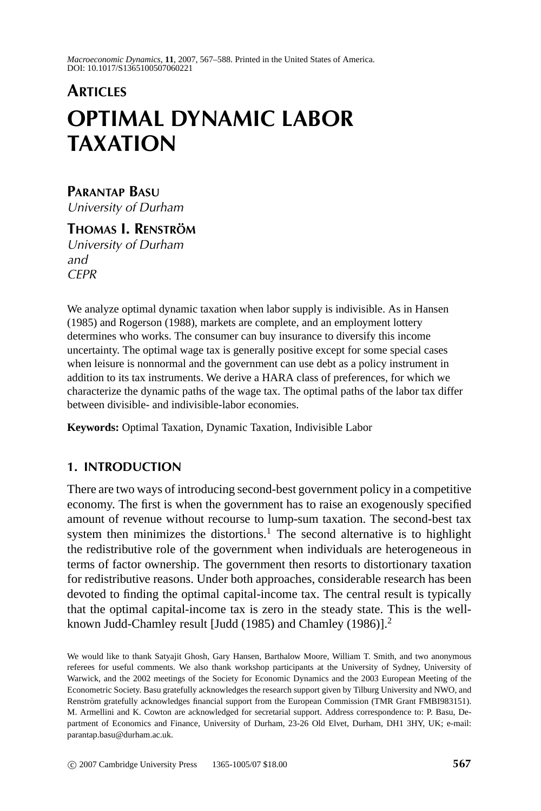*Macroeconomic Dynamics*, **11**, 2007, 567–588. Printed in the United States of America. DOI: 10.1017/S1365100507060221

# **ARTICLES OPTIMAL DYNAMIC LABOR TAXATION**

### **PARANTAP BASU** University of Durham

**THOMAS I. RENSTRÖM** University of Durham and CEPR

We analyze optimal dynamic taxation when labor supply is indivisible. As in Hansen (1985) and Rogerson (1988), markets are complete, and an employment lottery determines who works. The consumer can buy insurance to diversify this income uncertainty. The optimal wage tax is generally positive except for some special cases when leisure is nonnormal and the government can use debt as a policy instrument in addition to its tax instruments. We derive a HARA class of preferences, for which we characterize the dynamic paths of the wage tax. The optimal paths of the labor tax differ between divisible- and indivisible-labor economies.

**Keywords:** Optimal Taxation, Dynamic Taxation, Indivisible Labor

#### **1. INTRODUCTION**

There are two ways of introducing second-best government policy in a competitive economy. The first is when the government has to raise an exogenously specified amount of revenue without recourse to lump-sum taxation. The second-best tax system then minimizes the distortions.<sup>1</sup> The second alternative is to highlight the redistributive role of the government when individuals are heterogeneous in terms of factor ownership. The government then resorts to distortionary taxation for redistributive reasons. Under both approaches, considerable research has been devoted to finding the optimal capital-income tax. The central result is typically that the optimal capital-income tax is zero in the steady state. This is the wellknown Judd-Chamley result [Judd (1985) and Chamley (1986)].<sup>2</sup>

We would like to thank Satyajit Ghosh, Gary Hansen, Barthalow Moore, William T. Smith, and two anonymous referees for useful comments. We also thank workshop participants at the University of Sydney, University of Warwick, and the 2002 meetings of the Society for Economic Dynamics and the 2003 European Meeting of the Econometric Society. Basu gratefully acknowledges the research support given by Tilburg University and NWO, and Renström gratefully acknowledges financial support from the European Commission (TMR Grant FMBI983151). M. Armellini and K. Cowton are acknowledged for secretarial support. Address correspondence to: P. Basu, Department of Economics and Finance, University of Durham, 23-26 Old Elvet, Durham, DH1 3HY, UK; e-mail: parantap.basu@durham.ac.uk.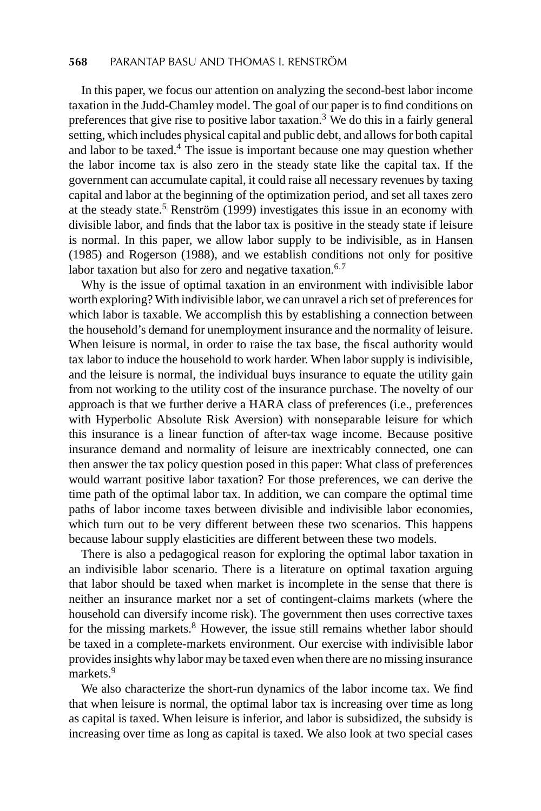#### **568** PARANTAP BASU AND THOMAS I. RENSTRÖM

In this paper, we focus our attention on analyzing the second-best labor income taxation in the Judd-Chamley model. The goal of our paper is to find conditions on preferences that give rise to positive labor taxation.<sup>3</sup> We do this in a fairly general setting, which includes physical capital and public debt, and allows for both capital and labor to be taxed.<sup>4</sup> The issue is important because one may question whether the labor income tax is also zero in the steady state like the capital tax. If the government can accumulate capital, it could raise all necessary revenues by taxing capital and labor at the beginning of the optimization period, and set all taxes zero at the steady state.<sup>5</sup> Renström (1999) investigates this issue in an economy with divisible labor, and finds that the labor tax is positive in the steady state if leisure is normal. In this paper, we allow labor supply to be indivisible, as in Hansen (1985) and Rogerson (1988), and we establish conditions not only for positive labor taxation but also for zero and negative taxation.<sup>6,7</sup>

Why is the issue of optimal taxation in an environment with indivisible labor worth exploring? With indivisible labor, we can unravel a rich set of preferences for which labor is taxable. We accomplish this by establishing a connection between the household's demand for unemployment insurance and the normality of leisure. When leisure is normal, in order to raise the tax base, the fiscal authority would tax labor to induce the household to work harder. When labor supply is indivisible, and the leisure is normal, the individual buys insurance to equate the utility gain from not working to the utility cost of the insurance purchase. The novelty of our approach is that we further derive a HARA class of preferences (i.e., preferences with Hyperbolic Absolute Risk Aversion) with nonseparable leisure for which this insurance is a linear function of after-tax wage income. Because positive insurance demand and normality of leisure are inextricably connected, one can then answer the tax policy question posed in this paper: What class of preferences would warrant positive labor taxation? For those preferences, we can derive the time path of the optimal labor tax. In addition, we can compare the optimal time paths of labor income taxes between divisible and indivisible labor economies, which turn out to be very different between these two scenarios. This happens because labour supply elasticities are different between these two models.

There is also a pedagogical reason for exploring the optimal labor taxation in an indivisible labor scenario. There is a literature on optimal taxation arguing that labor should be taxed when market is incomplete in the sense that there is neither an insurance market nor a set of contingent-claims markets (where the household can diversify income risk). The government then uses corrective taxes for the missing markets.<sup>8</sup> However, the issue still remains whether labor should be taxed in a complete-markets environment. Our exercise with indivisible labor provides insights why labor may be taxed even when there are no missing insurance markets.<sup>9</sup>

We also characterize the short-run dynamics of the labor income tax. We find that when leisure is normal, the optimal labor tax is increasing over time as long as capital is taxed. When leisure is inferior, and labor is subsidized, the subsidy is increasing over time as long as capital is taxed. We also look at two special cases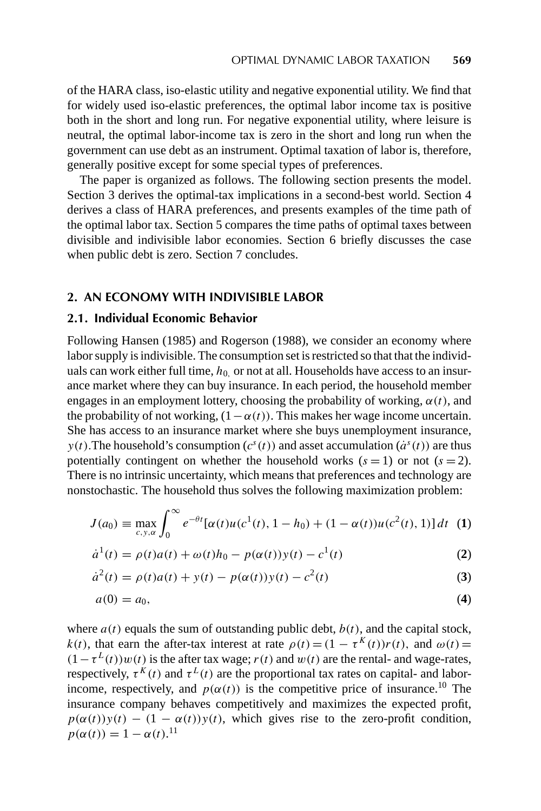of the HARA class, iso-elastic utility and negative exponential utility. We find that for widely used iso-elastic preferences, the optimal labor income tax is positive both in the short and long run. For negative exponential utility, where leisure is neutral, the optimal labor-income tax is zero in the short and long run when the government can use debt as an instrument. Optimal taxation of labor is, therefore, generally positive except for some special types of preferences.

The paper is organized as follows. The following section presents the model. Section 3 derives the optimal-tax implications in a second-best world. Section 4 derives a class of HARA preferences, and presents examples of the time path of the optimal labor tax. Section 5 compares the time paths of optimal taxes between divisible and indivisible labor economies. Section 6 briefly discusses the case when public debt is zero. Section 7 concludes.

#### **2. AN ECONOMY WITH INDIVISIBLE LABOR**

#### **2.1. Individual Economic Behavior**

Following Hansen (1985) and Rogerson (1988), we consider an economy where labor supply is indivisible. The consumption set is restricted so that that the individuals can work either full time,  $h_0$  or not at all. Households have access to an insurance market where they can buy insurance. In each period, the household member engages in an employment lottery, choosing the probability of working,  $\alpha(t)$ , and the probability of not working,  $(1 - \alpha(t))$ . This makes her wage income uncertain. She has access to an insurance market where she buys unemployment insurance, *y(t)*. The household's consumption  $(c^s(t))$  and asset accumulation  $(\dot{a}^s(t))$  are thus potentially contingent on whether the household works  $(s = 1)$  or not  $(s = 2)$ . There is no intrinsic uncertainty, which means that preferences and technology are nonstochastic. The household thus solves the following maximization problem:

$$
J(a_0) \equiv \max_{c,y,\alpha} \int_0^{\infty} e^{-\theta t} [\alpha(t)u(c^1(t), 1 - h_0) + (1 - \alpha(t))u(c^2(t), 1)] dt
$$
 (1)

$$
\dot{a}^{1}(t) = \rho(t)a(t) + \omega(t)h_0 - p(\alpha(t))y(t) - c^{1}(t)
$$
\n(2)

$$
\dot{a}^{2}(t) = \rho(t)a(t) + y(t) - p(\alpha(t))y(t) - c^{2}(t)
$$
\n(3)

$$
a(0) = a_0,\tag{4}
$$

where  $a(t)$  equals the sum of outstanding public debt,  $b(t)$ , and the capital stock, *k(t)*, that earn the after-tax interest at rate  $\rho(t) = (1 - \tau^{K}(t))r(t)$ , and  $\omega(t) =$  $(1 - \tau^L(t))w(t)$  is the after tax wage; *r*(*t*) and *w*(*t*) are the rental- and wage-rates, respectively,  $\tau^{K}(t)$  and  $\tau^{L}(t)$  are the proportional tax rates on capital- and laborincome, respectively, and  $p(\alpha(t))$  is the competitive price of insurance.<sup>10</sup> The insurance company behaves competitively and maximizes the expected profit,  $p(\alpha(t))y(t) - (1 - \alpha(t))y(t)$ , which gives rise to the zero-profit condition,  $p(\alpha(t)) = 1 - \alpha(t).$ <sup>11</sup>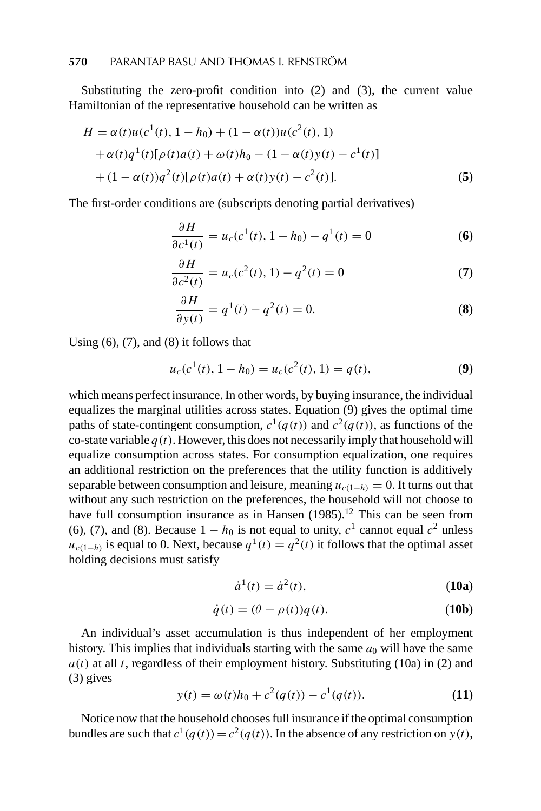Substituting the zero-profit condition into (2) and (3), the current value Hamiltonian of the representative household can be written as

$$
H = \alpha(t)u(c^{1}(t), 1 - h_{0}) + (1 - \alpha(t))u(c^{2}(t), 1)
$$
  
+  $\alpha(t)q^{1}(t)[\rho(t)a(t) + \omega(t)h_{0} - (1 - \alpha(t)y(t) - c^{1}(t)]$   
+  $(1 - \alpha(t))q^{2}(t)[\rho(t)a(t) + \alpha(t)y(t) - c^{2}(t)].$  (5)

The first-order conditions are (subscripts denoting partial derivatives)

$$
\frac{\partial H}{\partial c^1(t)} = u_c(c^1(t), 1 - h_0) - q^1(t) = 0
$$
\n(6)

$$
\frac{\partial H}{\partial c^2(t)} = u_c(c^2(t), 1) - q^2(t) = 0
$$
\n(7)

$$
\frac{\partial H}{\partial y(t)} = q^1(t) - q^2(t) = 0.
$$
 (8)

Using  $(6)$ ,  $(7)$ , and  $(8)$  it follows that

$$
u_c(c^1(t), 1 - h_0) = u_c(c^2(t), 1) = q(t),
$$
\n(9)

which means perfect insurance. In other words, by buying insurance, the individual equalizes the marginal utilities across states. Equation (9) gives the optimal time paths of state-contingent consumption,  $c^{1}(q(t))$  and  $c^{2}(q(t))$ , as functions of the co-state variable  $q(t)$ . However, this does not necessarily imply that household will equalize consumption across states. For consumption equalization, one requires an additional restriction on the preferences that the utility function is additively separable between consumption and leisure, meaning  $u_{c(1-h)} = 0$ . It turns out that without any such restriction on the preferences, the household will not choose to have full consumption insurance as in Hansen  $(1985)$ .<sup>12</sup> This can be seen from (6), (7), and (8). Because  $1 - h_0$  is not equal to unity,  $c^1$  cannot equal  $c^2$  unless  $u_{c(1-h)}$  is equal to 0. Next, because  $q^1(t) = q^2(t)$  it follows that the optimal asset holding decisions must satisfy

$$
\dot{a}^1(t) = \dot{a}^2(t),\tag{10a}
$$

$$
\dot{q}(t) = (\theta - \rho(t))q(t). \tag{10b}
$$

An individual's asset accumulation is thus independent of her employment history. This implies that individuals starting with the same  $a_0$  will have the same  $a(t)$  at all *t*, regardless of their employment history. Substituting (10a) in (2) and (3) gives

$$
y(t) = \omega(t)h_0 + c^2(q(t)) - c^1(q(t)).
$$
\n(11)

Notice now that the household chooses full insurance if the optimal consumption bundles are such that  $c^1(q(t)) = c^2(q(t))$ . In the absence of any restriction on  $y(t)$ ,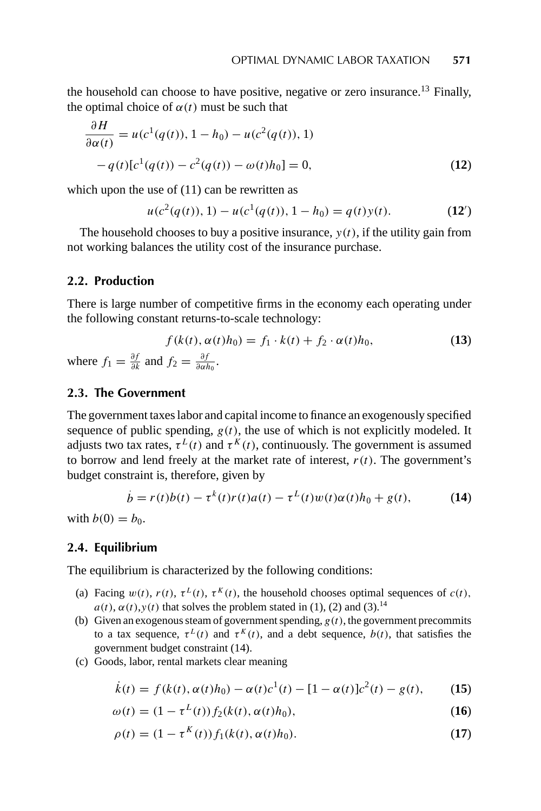the household can choose to have positive, negative or zero insurance.<sup>13</sup> Finally, the optimal choice of  $\alpha(t)$  must be such that

$$
\frac{\partial H}{\partial \alpha(t)} = u(c^1(q(t)), 1 - h_0) - u(c^2(q(t)), 1) -q(t)[c^1(q(t)) - c^2(q(t)) - \omega(t)h_0] = 0,
$$
\n(12)

which upon the use of  $(11)$  can be rewritten as

$$
u(c2(q(t)), 1) - u(c1(q(t)), 1 - h0) = q(t)y(t).
$$
 (12')

The household chooses to buy a positive insurance,  $y(t)$ , if the utility gain from not working balances the utility cost of the insurance purchase.

#### **2.2. Production**

There is large number of competitive firms in the economy each operating under the following constant returns-to-scale technology:

$$
f(k(t), \alpha(t)h_0) = f_1 \cdot k(t) + f_2 \cdot \alpha(t)h_0,
$$
\n(13)

\nre  $f_1 = \frac{\partial f}{\partial k}$  and  $f_2 = \frac{\partial f}{\partial \alpha h_0}$ .

 $when$  $\frac{\partial f}{\partial k}$  and  $f_2 = \frac{\partial f}{\partial \alpha k}$ *∂αh*<sup>0</sup>

#### **2.3. The Government**

The government taxes labor and capital income to finance an exogenously specified sequence of public spending,  $g(t)$ , the use of which is not explicitly modeled. It adjusts two tax rates,  $\tau^L(t)$  and  $\tau^K(t)$ , continuously. The government is assumed to borrow and lend freely at the market rate of interest,  $r(t)$ . The government's budget constraint is, therefore, given by

$$
\dot{b} = r(t)b(t) - \tau^{k}(t)r(t)a(t) - \tau^{L}(t)w(t)\alpha(t)h_{0} + g(t),
$$
\n(14)

with  $b(0) = b_0$ .

#### **2.4. Equilibrium**

The equilibrium is characterized by the following conditions:

- (a) Facing  $w(t)$ ,  $r(t)$ ,  $\tau^{L}(t)$ ,  $\tau^{K}(t)$ , the household chooses optimal sequences of  $c(t)$ ,  $a(t)$ ,  $\alpha(t)$ ,  $y(t)$  that solves the problem stated in (1), (2) and (3).<sup>14</sup>
- (b) Given an exogenous steam of government spending,  $g(t)$ , the government precommits to a tax sequence,  $\tau^{L}(t)$  and  $\tau^{K}(t)$ , and a debt sequence,  $b(t)$ , that satisfies the government budget constraint (14).
- (c) Goods, labor, rental markets clear meaning

$$
\dot{k}(t) = f(k(t), \alpha(t)h_0) - \alpha(t)c^{1}(t) - [1 - \alpha(t)]c^{2}(t) - g(t), \qquad (15)
$$

$$
\omega(t) = (1 - \tau^{L}(t)) f_2(k(t), \alpha(t)h_0),
$$
\n(16)

$$
\rho(t) = (1 - \tau^K(t)) f_1(k(t), \alpha(t)h_0).
$$
 (17)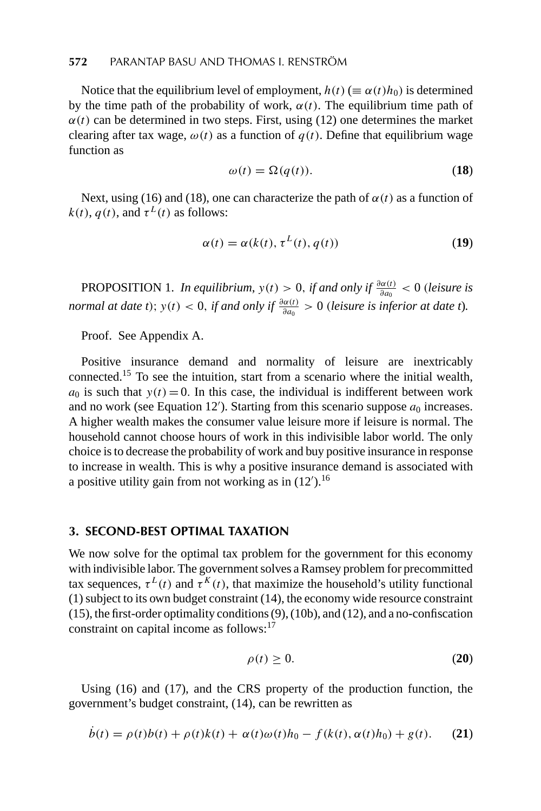Notice that the equilibrium level of employment,  $h(t)$  ( $\equiv \alpha(t)h_0$ ) is determined by the time path of the probability of work,  $\alpha(t)$ . The equilibrium time path of  $\alpha(t)$  can be determined in two steps. First, using (12) one determines the market clearing after tax wage,  $\omega(t)$  as a function of  $q(t)$ . Define that equilibrium wage function as

$$
\omega(t) = \Omega(q(t)).\tag{18}
$$

Next, using (16) and (18), one can characterize the path of  $\alpha(t)$  as a function of  $k(t)$ ,  $q(t)$ , and  $\tau^{L}(t)$  as follows:

$$
\alpha(t) = \alpha(k(t), \tau^{L}(t), q(t))
$$
\n(19)

PROPOSITION 1. *In equilibrium*,  $y(t) > 0$ , *if and only if*  $\frac{\partial \alpha(t)}{\partial a_0} < 0$  (*leisure is normal at date t*);  $y(t) < 0$ , *if and only if*  $\frac{\partial \alpha(t)}{\partial a_0} > 0$  *(leisure is inferior at date t*).

Proof. See Appendix A.

Positive insurance demand and normality of leisure are inextricably connected.<sup>15</sup> To see the intuition, start from a scenario where the initial wealth,  $a_0$  is such that  $y(t) = 0$ . In this case, the individual is indifferent between work and no work (see Equation  $12'$ ). Starting from this scenario suppose  $a_0$  increases. A higher wealth makes the consumer value leisure more if leisure is normal. The household cannot choose hours of work in this indivisible labor world. The only choice is to decrease the probability of work and buy positive insurance in response to increase in wealth. This is why a positive insurance demand is associated with a positive utility gain from not working as in  $(12')$ .<sup>16</sup>

#### **3. SECOND-BEST OPTIMAL TAXATION**

We now solve for the optimal tax problem for the government for this economy with indivisible labor. The government solves a Ramsey problem for precommitted tax sequences,  $\tau^L(t)$  and  $\tau^K(t)$ , that maximize the household's utility functional (1) subject to its own budget constraint (14), the economy wide resource constraint (15), the first-order optimality conditions (9), (10b), and (12), and a no-confiscation constraint on capital income as follows:<sup>17</sup>

$$
\rho(t) \ge 0. \tag{20}
$$

Using (16) and (17), and the CRS property of the production function, the government's budget constraint, (14), can be rewritten as

$$
\dot{b}(t) = \rho(t)b(t) + \rho(t)k(t) + \alpha(t)\omega(t)h_0 - f(k(t), \alpha(t)h_0) + g(t).
$$
 (21)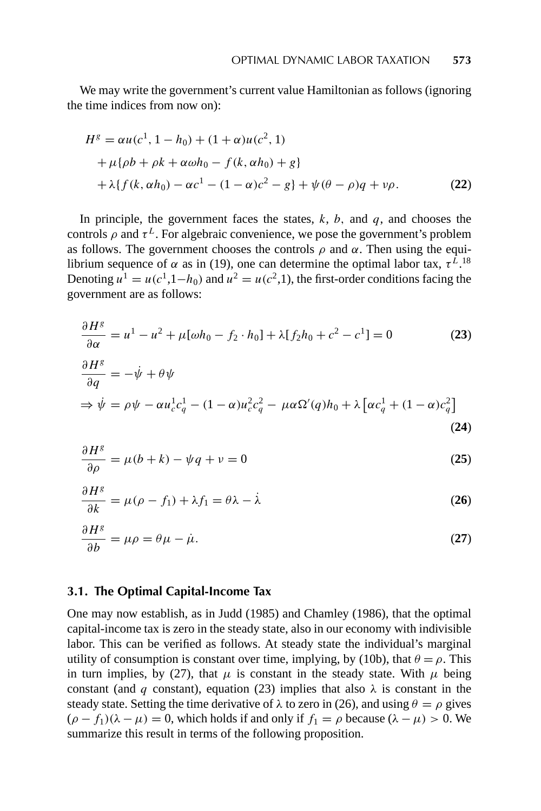We may write the government's current value Hamiltonian as follows (ignoring the time indices from now on):

$$
Hg = \alpha u(c1, 1 - h0) + (1 + \alpha)u(c2, 1)
$$
  
+  $\mu{\rho b + \rho k + \alpha \omega h_0 - f(k, \alpha h_0) + g}$   
+  $\lambda{f(k, \alpha h_0) - \alpha c1 - (1 - \alpha)c2 - g} + \psi(\theta - \rho)q + \nu\rho.$  (22)

In principle, the government faces the states, *k*, *b,* and *q*, and chooses the controls  $\rho$  and  $\tau^L$ . For algebraic convenience, we pose the government's problem as follows. The government chooses the controls  $\rho$  and  $\alpha$ . Then using the equilibrium sequence of *α* as in (19), one can determine the optimal labor tax,  $\tau^{L}$ .<sup>18</sup> Denoting  $u^1 = u(c^1, 1-h_0)$  and  $u^2 = u(c^2, 1)$ , the first-order conditions facing the government are as follows:

$$
\frac{\partial H^g}{\partial \alpha} = u^1 - u^2 + \mu[\omega h_0 - f_2 \cdot h_0] + \lambda[f_2 h_0 + c^2 - c^1] = 0
$$
\n(23)  
\n
$$
\frac{\partial H^g}{\partial q} = -\dot{\psi} + \theta \psi
$$
\n
$$
\Rightarrow \dot{\psi} = \rho \psi - \alpha u_c^1 c_q^1 - (1 - \alpha) u_c^2 c_q^2 - \mu \alpha \Omega'(q) h_0 + \lambda [\alpha c_q^1 + (1 - \alpha) c_q^2]
$$
\n(24)

$$
\frac{\partial H^g}{\partial \rho} = \mu(b+k) - \psi q + \nu = 0 \tag{25}
$$

$$
\frac{\partial H^g}{\partial k} = \mu(\rho - f_1) + \lambda f_1 = \theta \lambda - \dot{\lambda}
$$
 (26)

$$
\frac{\partial H^g}{\partial b} = \mu \rho = \theta \mu - \dot{\mu}.\tag{27}
$$

#### **3.1. The Optimal Capital-Income Tax**

One may now establish, as in Judd (1985) and Chamley (1986), that the optimal capital-income tax is zero in the steady state, also in our economy with indivisible labor. This can be verified as follows. At steady state the individual's marginal utility of consumption is constant over time, implying, by (10b), that  $\theta = \rho$ . This in turn implies, by (27), that  $\mu$  is constant in the steady state. With  $\mu$  being constant (and *q* constant), equation (23) implies that also  $\lambda$  is constant in the steady state. Setting the time derivative of  $\lambda$  to zero in (26), and using  $\theta = \rho$  gives  $(\rho - f_1)(\lambda - \mu) = 0$ , which holds if and only if  $f_1 = \rho$  because  $(\lambda - \mu) > 0$ . We summarize this result in terms of the following proposition.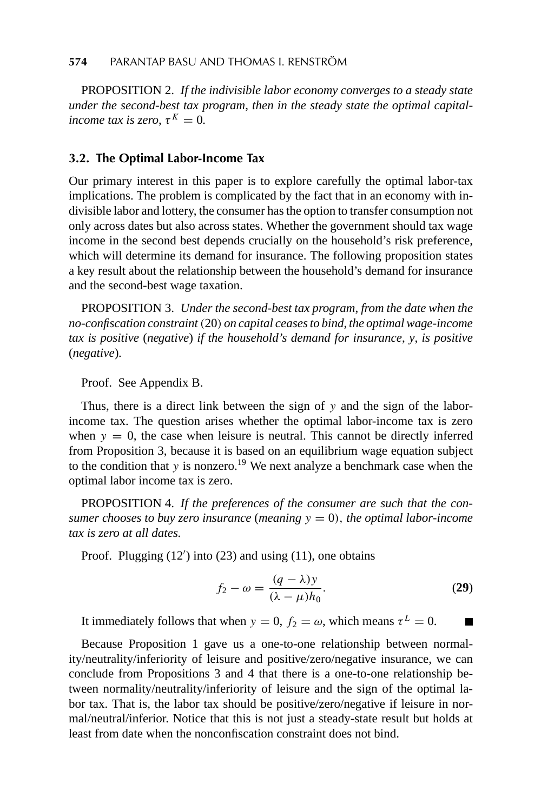PROPOSITION 2. *If the indivisible labor economy converges to a steady state under the second-best tax program*, *then in the steady state the optimal capitalincome tax is zero,*  $\tau^K = 0$ .

#### **3.2. The Optimal Labor-Income Tax**

Our primary interest in this paper is to explore carefully the optimal labor-tax implications. The problem is complicated by the fact that in an economy with indivisible labor and lottery, the consumer has the option to transfer consumption not only across dates but also across states. Whether the government should tax wage income in the second best depends crucially on the household's risk preference, which will determine its demand for insurance. The following proposition states a key result about the relationship between the household's demand for insurance and the second-best wage taxation.

PROPOSITION 3. *Under the second-best tax program*, *from the date when the no-confiscation constraint(*20*) on capital ceases to bind*, *the optimal wage-income tax is positive* (*negative*) *if the household's demand for insurance*, *y*, *is positive* (*negative*)*.*

Proof. See Appendix B.

Thus, there is a direct link between the sign of *y* and the sign of the laborincome tax. The question arises whether the optimal labor-income tax is zero when  $y = 0$ , the case when leisure is neutral. This cannot be directly inferred from Proposition 3, because it is based on an equilibrium wage equation subject to the condition that  $y$  is nonzero.<sup>19</sup> We next analyze a benchmark case when the optimal labor income tax is zero.

PROPOSITION 4. *If the preferences of the consumer are such that the consumer chooses to buy zero insurance* (*meaning*  $y = 0$ ), *the optimal labor-income tax is zero at all dates.*

Proof. Plugging (12') into (23) and using (11), one obtains

$$
f_2 - \omega = \frac{(q - \lambda)y}{(\lambda - \mu)h_0}.
$$
 (29)

It immediately follows that when  $y = 0$ ,  $f_2 = \omega$ , which means  $\tau^L = 0$ .

Because Proposition 1 gave us a one-to-one relationship between normality/neutrality/inferiority of leisure and positive/zero/negative insurance, we can conclude from Propositions 3 and 4 that there is a one-to-one relationship between normality/neutrality/inferiority of leisure and the sign of the optimal labor tax. That is, the labor tax should be positive/zero/negative if leisure in normal/neutral/inferior. Notice that this is not just a steady-state result but holds at least from date when the nonconfiscation constraint does not bind.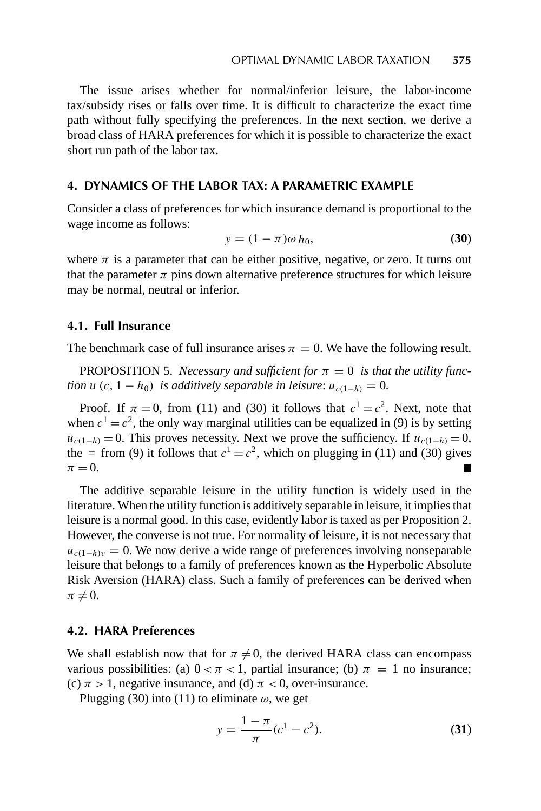The issue arises whether for normal/inferior leisure, the labor-income tax/subsidy rises or falls over time. It is difficult to characterize the exact time path without fully specifying the preferences. In the next section, we derive a broad class of HARA preferences for which it is possible to characterize the exact short run path of the labor tax.

#### **4. DYNAMICS OF THE LABOR TAX: A PARAMETRIC EXAMPLE**

Consider a class of preferences for which insurance demand is proportional to the wage income as follows:

$$
y = (1 - \pi)\omega h_0,\tag{30}
$$

where  $\pi$  is a parameter that can be either positive, negative, or zero. It turns out that the parameter  $\pi$  pins down alternative preference structures for which leisure may be normal, neutral or inferior.

#### **4.1. Full Insurance**

The benchmark case of full insurance arises  $\pi = 0$ . We have the following result.

PROPOSITION 5. *Necessary and sufficient for*  $\pi = 0$  *is that the utility function u*  $(c, 1 - h_0)$  *is additively separable in leisure:*  $u_{c(1-h)} = 0$ .

Proof. If  $\pi = 0$ , from (11) and (30) it follows that  $c^1 = c^2$ . Next, note that when  $c^1 = c^2$ , the only way marginal utilities can be equalized in (9) is by setting  $u_{c(1-h)} = 0$ . This proves necessity. Next we prove the sufficiency. If  $u_{c(1-h)} = 0$ , the = from (9) it follows that  $c^1 = c^2$ , which on plugging in (11) and (30) gives  $\pi = 0$ .

The additive separable leisure in the utility function is widely used in the literature. When the utility function is additively separable in leisure, it implies that leisure is a normal good. In this case, evidently labor is taxed as per Proposition 2. However, the converse is not true. For normality of leisure, it is not necessary that  $u_{c(1-h)v} = 0$ . We now derive a wide range of preferences involving nonseparable leisure that belongs to a family of preferences known as the Hyperbolic Absolute Risk Aversion (HARA) class. Such a family of preferences can be derived when  $\pi \neq 0$ .

#### **4.2. HARA Preferences**

We shall establish now that for  $\pi \neq 0$ , the derived HARA class can encompass various possibilities: (a)  $0 < \pi < 1$ , partial insurance; (b)  $\pi = 1$  no insurance; (c)  $\pi$  > 1, negative insurance, and (d)  $\pi$  < 0, over-insurance.

Plugging (30) into (11) to eliminate  $\omega$ , we get

$$
y = \frac{1 - \pi}{\pi} (c^1 - c^2).
$$
 (31)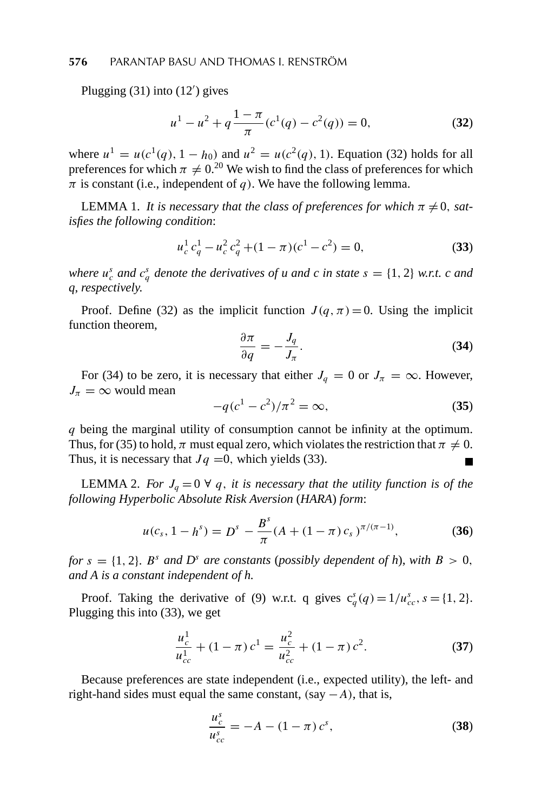Plugging (31) into (12 ) gives

$$
u^{1} - u^{2} + q \frac{1 - \pi}{\pi} (c^{1}(q) - c^{2}(q)) = 0,
$$
 (32)

where  $u^1 = u(c^1(q), 1 - h_0)$  and  $u^2 = u(c^2(q), 1)$ . Equation (32) holds for all preferences for which  $\pi \neq 0$ <sup>20</sup> We wish to find the class of preferences for which  $\pi$  is constant (i.e., independent of *q*). We have the following lemma.

LEMMA 1. *It is necessary that the class of preferences for which*  $\pi \neq 0$ *, satisfies the following condition*:

$$
u_c^1 c_q^1 - u_c^2 c_q^2 + (1 - \pi)(c^1 - c^2) = 0,
$$
\n(33)

*where*  $u_c^s$  *and*  $c_q^s$  *denote the derivatives of u and c in state*  $s = \{1, 2\}$  *w.r.t. c and q*, *respectively.*

Proof. Define (32) as the implicit function  $J(q, \pi) = 0$ . Using the implicit function theorem,

$$
\frac{\partial \pi}{\partial q} = -\frac{J_q}{J_\pi}.\tag{34}
$$

For (34) to be zero, it is necessary that either  $J_q = 0$  or  $J_\pi = \infty$ . However,  $J_{\pi} = \infty$  would mean

$$
-q(c^1 - c^2)/\pi^2 = \infty,
$$
 (35)

*q* being the marginal utility of consumption cannot be infinity at the optimum. Thus, for (35) to hold,  $\pi$  must equal zero, which violates the restriction that  $\pi \neq 0$ . Thus, it is necessary that  $Jq = 0$ , which yields (33).

**LEMMA** 2. *For*  $J_q = 0 \forall q$ , *it is necessary that the utility function is of the following Hyperbolic Absolute Risk Aversion* (*HARA*) *form*:

$$
u(c_s, 1 - h^s) = D^s - \frac{B^s}{\pi} (A + (1 - \pi) c_s)^{\pi/(\pi - 1)},
$$
 (36)

*for*  $s = \{1, 2\}$ *. B*<sup>*s*</sup> *and D*<sup>*s*</sup> *are constants* (*possibly dependent of h*), *with*  $B > 0$ *, and A is a constant independent of h.*

Proof. Taking the derivative of (9) w.r.t. q gives  $c_q^s(q) = 1/u_{cc}^s$ ,  $s = \{1, 2\}$ . Plugging this into (33), we get

$$
\frac{u_c^1}{u_{cc}^1} + (1 - \pi) c^1 = \frac{u_c^2}{u_{cc}^2} + (1 - \pi) c^2.
$$
 (37)

Because preferences are state independent (i.e., expected utility), the left- and right-hand sides must equal the same constant,  $(say - A)$ , that is,

$$
\frac{u_c^s}{u_{cc}^s} = -A - (1 - \pi) c^s,
$$
\n(38)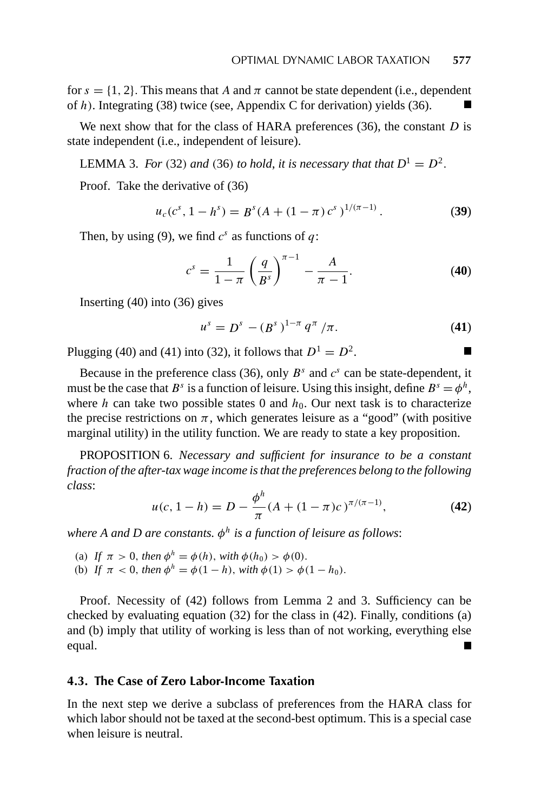for  $s = \{1, 2\}$ . This means that *A* and  $\pi$  cannot be state dependent (i.e., dependent of *h)*. Integrating (38) twice (see, Appendix C for derivation) yields (36).

We next show that for the class of HARA preferences (36), the constant *D* is state independent (i.e., independent of leisure).

LEMMA 3. *For* (32) *and* (36) *to hold*, *it is necessary that that*  $D^1 = D^2$ .

Proof. Take the derivative of (36)

$$
u_c(c^s, 1-h^s) = B^s(A + (1-\pi)c^s)^{1/(\pi-1)}.
$$
 (39)

Then, by using (9), we find  $c^s$  as functions of  $q$ :

$$
c^{s} = \frac{1}{1 - \pi} \left(\frac{q}{B^{s}}\right)^{\pi - 1} - \frac{A}{\pi - 1}.
$$
 (40)

Inserting (40) into (36) gives

$$
u^{s} = D^{s} - (B^{s})^{1-\pi} q^{\pi}/\pi.
$$
 (41)

Plugging (40) and (41) into (32), it follows that  $D^1 = D^2$ .

Because in the preference class (36), only  $B^s$  and  $c^s$  can be state-dependent, it must be the case that  $B^s$  is a function of leisure. Using this insight, define  $B^s = \phi^h$ , where *h* can take two possible states 0 and  $h_0$ . Our next task is to characterize the precise restrictions on  $\pi$ , which generates leisure as a "good" (with positive marginal utility) in the utility function. We are ready to state a key proposition.

PROPOSITION 6. *Necessary and sufficient for insurance to be a constant fraction of the after-tax wage income is that the preferences belong to the following class*:

$$
u(c, 1-h) = D - \frac{\phi^h}{\pi} (A + (1-\pi)c)^{\pi/(\pi-1)},
$$
 (42)

*where A and D are constants. φ<sup>h</sup> is a function of leisure as follows*:

- (a) If  $\pi > 0$ , then  $\phi^h = \phi(h)$ , with  $\phi(h_0) > \phi(0)$ .
- (b) If  $\pi < 0$ , then  $\phi^h = \phi(1 h)$ , with  $\phi(1) > \phi(1 h_0)$ .

Proof. Necessity of (42) follows from Lemma 2 and 3. Sufficiency can be checked by evaluating equation  $(32)$  for the class in  $(42)$ . Finally, conditions  $(a)$ and (b) imply that utility of working is less than of not working, everything else equal.

#### **4.3. The Case of Zero Labor-Income Taxation**

In the next step we derive a subclass of preferences from the HARA class for which labor should not be taxed at the second-best optimum. This is a special case when leisure is neutral.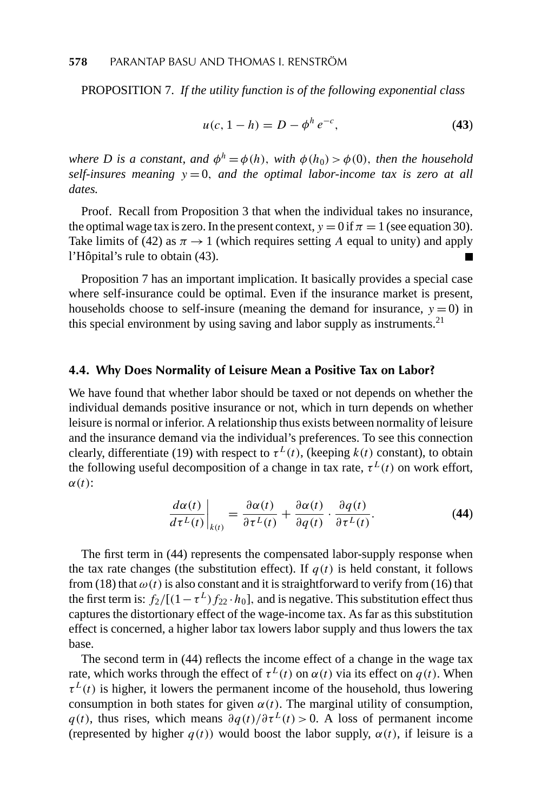PROPOSITION 7. *If the utility function is of the following exponential class*

$$
u(c, 1 - h) = D - \phi^h e^{-c}, \tag{43}
$$

*where D is a constant, and*  $\phi^h = \phi(h)$ *, with*  $\phi(h_0) > \phi(0)$ *, then the household self-insures meaning y* = 0*, and the optimal labor-income tax is zero at all dates.*

Proof. Recall from Proposition 3 that when the individual takes no insurance, the optimal wage tax is zero. In the present context,  $y = 0$  if  $\pi = 1$  (see equation 30). Take limits of (42) as  $\pi \rightarrow 1$  (which requires setting *A* equal to unity) and apply l'Hôpital's rule to obtain (43).

Proposition 7 has an important implication. It basically provides a special case where self-insurance could be optimal. Even if the insurance market is present, households choose to self-insure (meaning the demand for insurance,  $y = 0$ ) in this special environment by using saving and labor supply as instruments.<sup>21</sup>

#### **4.4. Why Does Normality of Leisure Mean a Positive Tax on Labor?**

We have found that whether labor should be taxed or not depends on whether the individual demands positive insurance or not, which in turn depends on whether leisure is normal or inferior. A relationship thus exists between normality of leisure and the insurance demand via the individual's preferences. To see this connection clearly, differentiate (19) with respect to  $\tau^L(t)$ , (keeping  $k(t)$  constant), to obtain the following useful decomposition of a change in tax rate,  $\tau^L(t)$  on work effort, *α(t)*:

$$
\left. \frac{d\alpha(t)}{d\tau^{L}(t)} \right|_{k(t)} = \frac{\partial \alpha(t)}{\partial \tau^{L}(t)} + \frac{\partial \alpha(t)}{\partial q(t)} \cdot \frac{\partial q(t)}{\partial \tau^{L}(t)}.
$$
\n(44)

The first term in (44) represents the compensated labor-supply response when the tax rate changes (the substitution effect). If  $q(t)$  is held constant, it follows from (18) that  $\omega(t)$  is also constant and it is straightforward to verify from (16) that the first term is:  $f_2/[(1-\tau^L)f_{22} \cdot h_0]$ , and is negative. This substitution effect thus captures the distortionary effect of the wage-income tax. As far as this substitution effect is concerned, a higher labor tax lowers labor supply and thus lowers the tax base.

The second term in (44) reflects the income effect of a change in the wage tax rate, which works through the effect of  $\tau^L(t)$  on  $\alpha(t)$  via its effect on  $q(t)$ . When  $\tau^L(t)$  is higher, it lowers the permanent income of the household, thus lowering consumption in both states for given  $\alpha(t)$ . The marginal utility of consumption,  $q(t)$ , thus rises, which means  $\partial q(t)/\partial \tau^{L}(t) > 0$ . A loss of permanent income (represented by higher  $q(t)$ ) would boost the labor supply,  $\alpha(t)$ , if leisure is a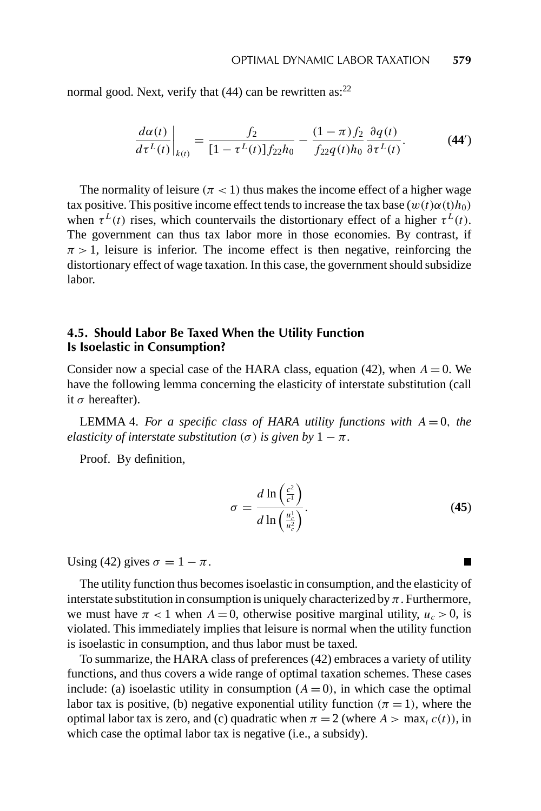normal good. Next, verify that  $(44)$  can be rewritten as:<sup>22</sup>

$$
\left. \frac{d\alpha(t)}{d\tau^{L}(t)} \right|_{k(t)} = \frac{f_2}{[1 - \tau^{L}(t)] f_{22} h_0} - \frac{(1 - \pi)f_2}{f_{22} q(t) h_0} \frac{\partial q(t)}{\partial \tau^{L}(t)}.
$$
 (44')

The normality of leisure  $(\pi < 1)$  thus makes the income effect of a higher wage tax positive. This positive income effect tends to increase the tax base  $(w(t)\alpha(t)h_0)$ when  $\tau^L(t)$  rises, which countervails the distortionary effect of a higher  $\tau^L(t)$ . The government can thus tax labor more in those economies. By contrast, if  $\pi$  > 1, leisure is inferior. The income effect is then negative, reinforcing the distortionary effect of wage taxation. In this case, the government should subsidize labor.

#### **4.5. Should Labor Be Taxed When the Utility Function Is Isoelastic in Consumption?**

Consider now a special case of the HARA class, equation (42), when  $A = 0$ . We have the following lemma concerning the elasticity of interstate substitution (call it *σ* hereafter).

LEMMA 4. For a specific class of HARA utility functions with  $A = 0$ , the *elasticity of interstate substitution*  $(\sigma)$  *is given by*  $1 - \pi$ *.* 

Proof. By definition,

$$
\sigma = \frac{d \ln \left(\frac{c^2}{c^1}\right)}{d \ln \left(\frac{u_c^1}{u_c^2}\right)}.
$$
\n(45)

Using (42) gives  $\sigma = 1 - \pi$ .

The utility function thus becomes isoelastic in consumption, and the elasticity of interstate substitution in consumption is uniquely characterized by *π*. Furthermore, we must have  $\pi$  < 1 when  $A = 0$ , otherwise positive marginal utility,  $u_c > 0$ , is violated. This immediately implies that leisure is normal when the utility function is isoelastic in consumption, and thus labor must be taxed.

To summarize, the HARA class of preferences (42) embraces a variety of utility functions, and thus covers a wide range of optimal taxation schemes. These cases include: (a) isoelastic utility in consumption  $(A = 0)$ , in which case the optimal labor tax is positive, (b) negative exponential utility function  $(\pi = 1)$ , where the optimal labor tax is zero, and (c) quadratic when  $\pi = 2$  (where  $A > \max_{t} c(t)$ ), in which case the optimal labor tax is negative (i.e., a subsidy).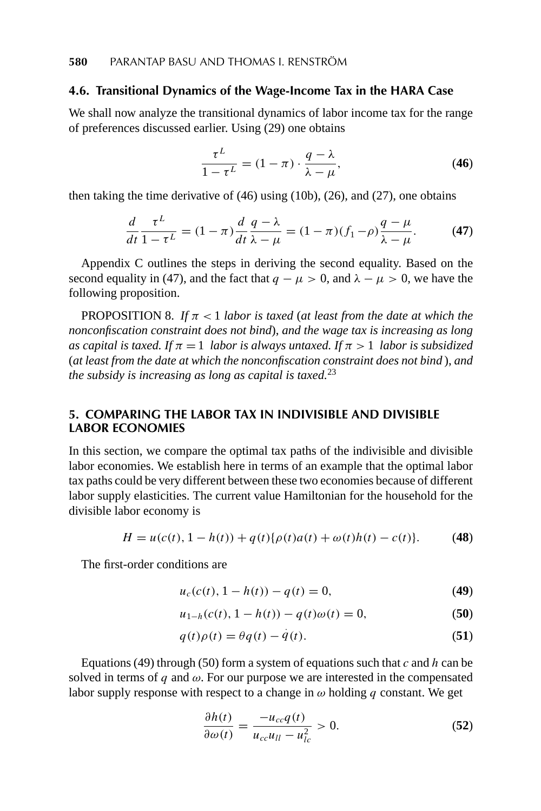#### **4.6. Transitional Dynamics of the Wage-Income Tax in the HARA Case**

We shall now analyze the transitional dynamics of labor income tax for the range of preferences discussed earlier. Using (29) one obtains

$$
\frac{\tau^L}{1 - \tau^L} = (1 - \pi) \cdot \frac{q - \lambda}{\lambda - \mu},
$$
\n(46)

then taking the time derivative of (46) using (10b), (26), and (27), one obtains

$$
\frac{d}{dt}\frac{\tau^L}{1-\tau^L} = (1-\pi)\frac{d}{dt}\frac{q-\lambda}{\lambda-\mu} = (1-\pi)(f_1-\rho)\frac{q-\mu}{\lambda-\mu}.\tag{47}
$$

Appendix C outlines the steps in deriving the second equality. Based on the second equality in (47), and the fact that  $q - \mu > 0$ , and  $\lambda - \mu > 0$ , we have the following proposition.

PROPOSITION 8. *If*  $\pi$  < 1 *labor is taxed* (*at least from the date at which the nonconfiscation constraint does not bind*), *and the wage tax is increasing as long as capital is taxed. If*  $\pi = 1$  *labor is always untaxed. If*  $\pi > 1$  *labor is subsidized* (*at least from the date at which the nonconfiscation constraint does not bind* ), *and the subsidy is increasing as long as capital is taxed.*<sup>23</sup>

#### **5. COMPARING THE LABOR TAX IN INDIVISIBLE AND DIVISIBLE LABOR ECONOMIES**

In this section, we compare the optimal tax paths of the indivisible and divisible labor economies. We establish here in terms of an example that the optimal labor tax paths could be very different between these two economies because of different labor supply elasticities. The current value Hamiltonian for the household for the divisible labor economy is

$$
H = u(c(t), 1 - h(t)) + q(t)\{\rho(t)a(t) + \omega(t)h(t) - c(t)\}.
$$
 (48)

The first-order conditions are

$$
u_c(c(t), 1 - h(t)) - q(t) = 0,
$$
\n(49)

$$
u_{1-h}(c(t), 1-h(t)) - q(t)\omega(t) = 0,
$$
\n(50)

$$
q(t)\rho(t) = \theta q(t) - \dot{q}(t). \tag{51}
$$

Equations (49) through (50) form a system of equations such that *c* and *h* can be solved in terms of *q* and  $\omega$ . For our purpose we are interested in the compensated labor supply response with respect to a change in  $\omega$  holding q constant. We get

$$
\frac{\partial h(t)}{\partial \omega(t)} = \frac{-u_{cc}q(t)}{u_{cc}u_{ll} - u_{lc}^2} > 0.
$$
 (52)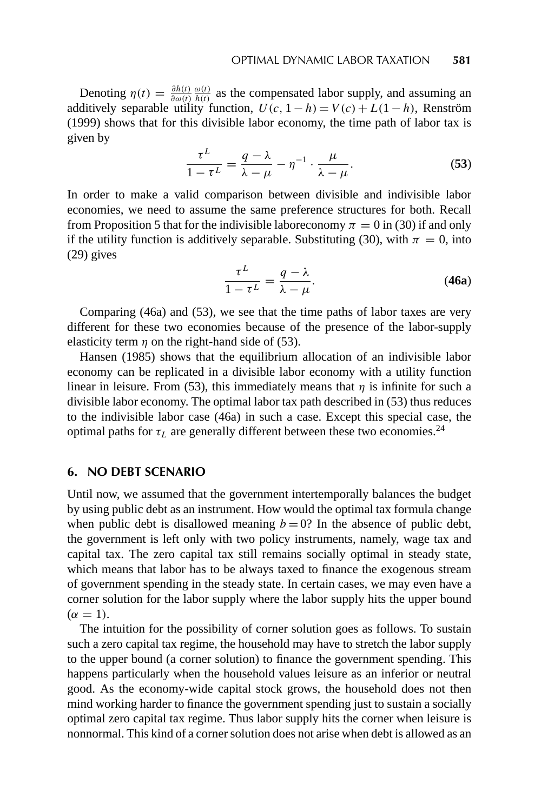Denoting  $\eta(t) = \frac{\partial h(t)}{\partial \omega(t)} \frac{\omega(t)}{h(t)}$  as the compensated labor supply, and assuming an additively separable utility function,  $U(c, 1-h) = V(c) + L(1-h)$ , Renström (1999) shows that for this divisible labor economy, the time path of labor tax is given by

$$
\frac{\tau^L}{1-\tau^L} = \frac{q-\lambda}{\lambda-\mu} - \eta^{-1} \cdot \frac{\mu}{\lambda-\mu}.
$$
 (53)

In order to make a valid comparison between divisible and indivisible labor economies, we need to assume the same preference structures for both. Recall from Proposition 5 that for the indivisible laboreconomy  $\pi = 0$  in (30) if and only if the utility function is additively separable. Substituting (30), with  $\pi = 0$ , into (29) gives

$$
\frac{\tau^L}{1-\tau^L} = \frac{q-\lambda}{\lambda-\mu}.
$$
 (46a)

Comparing (46a) and (53), we see that the time paths of labor taxes are very different for these two economies because of the presence of the labor-supply elasticity term  $\eta$  on the right-hand side of (53).

Hansen (1985) shows that the equilibrium allocation of an indivisible labor economy can be replicated in a divisible labor economy with a utility function linear in leisure. From (53), this immediately means that  $\eta$  is infinite for such a divisible labor economy. The optimal labor tax path described in (53) thus reduces to the indivisible labor case (46a) in such a case. Except this special case, the optimal paths for  $\tau_L$  are generally different between these two economies.<sup>24</sup>

#### **6. NO DEBT SCENARIO**

Until now, we assumed that the government intertemporally balances the budget by using public debt as an instrument. How would the optimal tax formula change when public debt is disallowed meaning  $b = 0$ ? In the absence of public debt, the government is left only with two policy instruments, namely, wage tax and capital tax. The zero capital tax still remains socially optimal in steady state, which means that labor has to be always taxed to finance the exogenous stream of government spending in the steady state. In certain cases, we may even have a corner solution for the labor supply where the labor supply hits the upper bound  $(\alpha = 1)$ .

The intuition for the possibility of corner solution goes as follows. To sustain such a zero capital tax regime, the household may have to stretch the labor supply to the upper bound (a corner solution) to finance the government spending. This happens particularly when the household values leisure as an inferior or neutral good. As the economy-wide capital stock grows, the household does not then mind working harder to finance the government spending just to sustain a socially optimal zero capital tax regime. Thus labor supply hits the corner when leisure is nonnormal. This kind of a corner solution does not arise when debt is allowed as an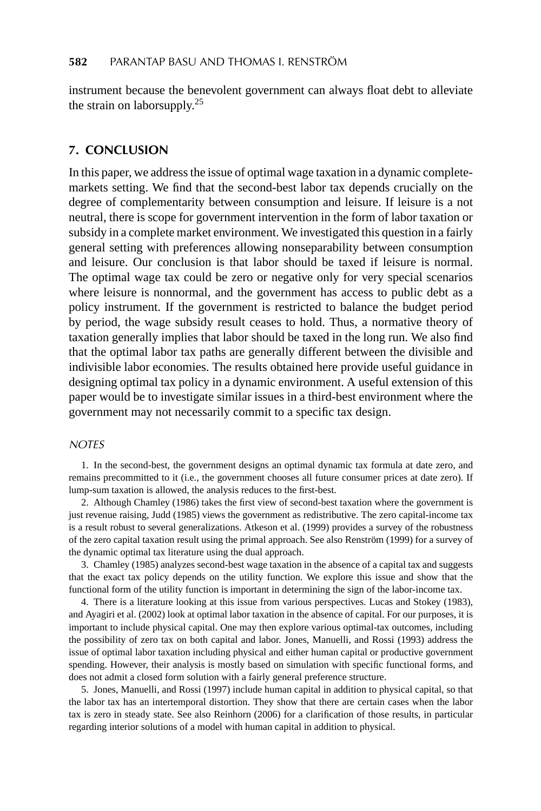instrument because the benevolent government can always float debt to alleviate the strain on laborsupply.<sup>25</sup>

#### **7. CONCLUSION**

In this paper, we address the issue of optimal wage taxation in a dynamic completemarkets setting. We find that the second-best labor tax depends crucially on the degree of complementarity between consumption and leisure. If leisure is a not neutral, there is scope for government intervention in the form of labor taxation or subsidy in a complete market environment. We investigated this question in a fairly general setting with preferences allowing nonseparability between consumption and leisure. Our conclusion is that labor should be taxed if leisure is normal. The optimal wage tax could be zero or negative only for very special scenarios where leisure is nonnormal, and the government has access to public debt as a policy instrument. If the government is restricted to balance the budget period by period, the wage subsidy result ceases to hold. Thus, a normative theory of taxation generally implies that labor should be taxed in the long run. We also find that the optimal labor tax paths are generally different between the divisible and indivisible labor economies. The results obtained here provide useful guidance in designing optimal tax policy in a dynamic environment. A useful extension of this paper would be to investigate similar issues in a third-best environment where the government may not necessarily commit to a specific tax design.

#### **NOTES**

1. In the second-best, the government designs an optimal dynamic tax formula at date zero, and remains precommitted to it (i.e., the government chooses all future consumer prices at date zero). If lump-sum taxation is allowed, the analysis reduces to the first-best.

2. Although Chamley (1986) takes the first view of second-best taxation where the government is just revenue raising, Judd (1985) views the government as redistributive. The zero capital-income tax is a result robust to several generalizations. Atkeson et al. (1999) provides a survey of the robustness of the zero capital taxation result using the primal approach. See also Renström (1999) for a survey of the dynamic optimal tax literature using the dual approach.

3. Chamley (1985) analyzes second-best wage taxation in the absence of a capital tax and suggests that the exact tax policy depends on the utility function. We explore this issue and show that the functional form of the utility function is important in determining the sign of the labor-income tax.

4. There is a literature looking at this issue from various perspectives. Lucas and Stokey (1983), and Ayagiri et al. (2002) look at optimal labor taxation in the absence of capital. For our purposes, it is important to include physical capital. One may then explore various optimal-tax outcomes, including the possibility of zero tax on both capital and labor. Jones, Manuelli, and Rossi (1993) address the issue of optimal labor taxation including physical and either human capital or productive government spending. However, their analysis is mostly based on simulation with specific functional forms, and does not admit a closed form solution with a fairly general preference structure.

5. Jones, Manuelli, and Rossi (1997) include human capital in addition to physical capital, so that the labor tax has an intertemporal distortion. They show that there are certain cases when the labor tax is zero in steady state. See also Reinhorn (2006) for a clarification of those results, in particular regarding interior solutions of a model with human capital in addition to physical.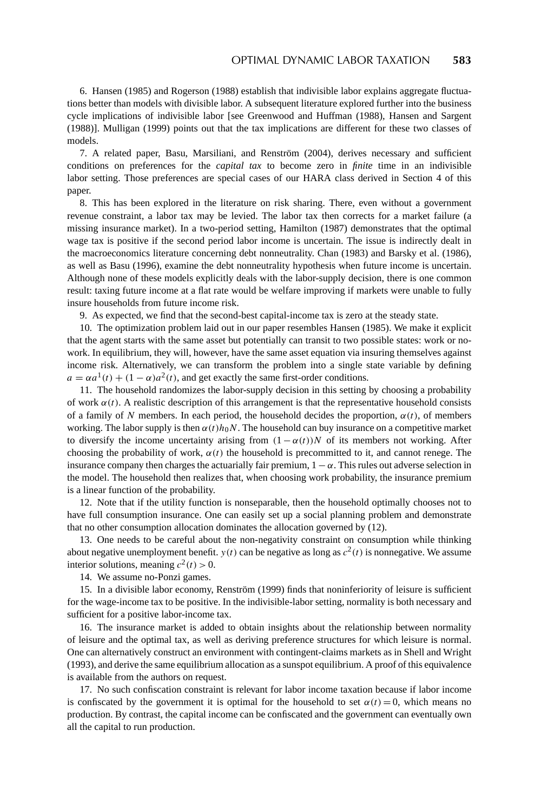6. Hansen (1985) and Rogerson (1988) establish that indivisible labor explains aggregate fluctuations better than models with divisible labor. A subsequent literature explored further into the business cycle implications of indivisible labor [see Greenwood and Huffman (1988), Hansen and Sargent (1988)]. Mulligan (1999) points out that the tax implications are different for these two classes of models.

7. A related paper, Basu, Marsiliani, and Renström (2004), derives necessary and sufficient conditions on preferences for the *capital tax* to become zero in *finite* time in an indivisible labor setting. Those preferences are special cases of our HARA class derived in Section 4 of this paper.

8. This has been explored in the literature on risk sharing. There, even without a government revenue constraint, a labor tax may be levied. The labor tax then corrects for a market failure (a missing insurance market). In a two-period setting, Hamilton (1987) demonstrates that the optimal wage tax is positive if the second period labor income is uncertain. The issue is indirectly dealt in the macroeconomics literature concerning debt nonneutrality. Chan (1983) and Barsky et al. (1986), as well as Basu (1996), examine the debt nonneutrality hypothesis when future income is uncertain. Although none of these models explicitly deals with the labor-supply decision, there is one common result: taxing future income at a flat rate would be welfare improving if markets were unable to fully insure households from future income risk.

9. As expected, we find that the second-best capital-income tax is zero at the steady state.

10. The optimization problem laid out in our paper resembles Hansen (1985). We make it explicit that the agent starts with the same asset but potentially can transit to two possible states: work or nowork. In equilibrium, they will, however, have the same asset equation via insuring themselves against income risk. Alternatively, we can transform the problem into a single state variable by defining  $a = \alpha a^1(t) + (1 - \alpha)a^2(t)$ , and get exactly the same first-order conditions.

11. The household randomizes the labor-supply decision in this setting by choosing a probability of work  $\alpha(t)$ . A realistic description of this arrangement is that the representative household consists of a family of *N* members. In each period, the household decides the proportion,  $\alpha(t)$ , of members working. The labor supply is then *α(t)h*0*N*. The household can buy insurance on a competitive market to diversify the income uncertainty arising from  $(1 - \alpha(t))N$  of its members not working. After choosing the probability of work,  $\alpha(t)$  the household is precommitted to it, and cannot renege. The insurance company then charges the actuarially fair premium,  $1 - \alpha$ . This rules out adverse selection in the model. The household then realizes that, when choosing work probability, the insurance premium is a linear function of the probability.

12. Note that if the utility function is nonseparable, then the household optimally chooses not to have full consumption insurance. One can easily set up a social planning problem and demonstrate that no other consumption allocation dominates the allocation governed by (12).

13. One needs to be careful about the non-negativity constraint on consumption while thinking about negative unemployment benefit.  $y(t)$  can be negative as long as  $c^2(t)$  is nonnegative. We assume interior solutions, meaning  $c^2(t) > 0$ .

14. We assume no-Ponzi games.

15. In a divisible labor economy, Renström (1999) finds that noninferiority of leisure is sufficient for the wage-income tax to be positive. In the indivisible-labor setting, normality is both necessary and sufficient for a positive labor-income tax.

16. The insurance market is added to obtain insights about the relationship between normality of leisure and the optimal tax, as well as deriving preference structures for which leisure is normal. One can alternatively construct an environment with contingent-claims markets as in Shell and Wright (1993), and derive the same equilibrium allocation as a sunspot equilibrium. A proof of this equivalence is available from the authors on request.

17. No such confiscation constraint is relevant for labor income taxation because if labor income is confiscated by the government it is optimal for the household to set  $\alpha(t) = 0$ , which means no production. By contrast, the capital income can be confiscated and the government can eventually own all the capital to run production.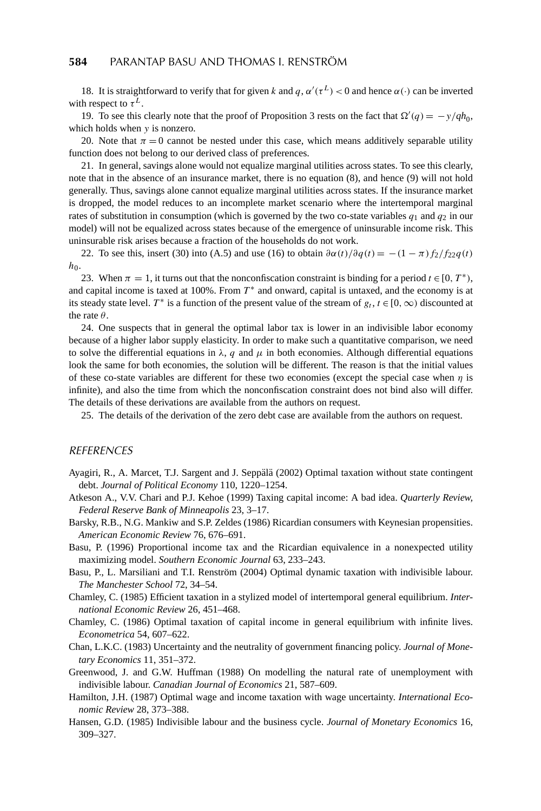18. It is straightforward to verify that for given *k* and  $q, \alpha'(\tau^L) < 0$  and hence  $\alpha(\cdot)$  can be inverted with respect to  $\tau^L$ .

19. To see this clearly note that the proof of Proposition 3 rests on the fact that  $\Omega'(q) = -y/qh_0$ , which holds when *y* is nonzero.

20. Note that  $\pi = 0$  cannot be nested under this case, which means additively separable utility function does not belong to our derived class of preferences.

21. In general, savings alone would not equalize marginal utilities across states. To see this clearly, note that in the absence of an insurance market, there is no equation (8), and hence (9) will not hold generally. Thus, savings alone cannot equalize marginal utilities across states. If the insurance market is dropped, the model reduces to an incomplete market scenario where the intertemporal marginal rates of substitution in consumption (which is governed by the two co-state variables  $q_1$  and  $q_2$  in our model) will not be equalized across states because of the emergence of uninsurable income risk. This uninsurable risk arises because a fraction of the households do not work.

22. To see this, insert (30) into (A.5) and use (16) to obtain  $\frac{\partial \alpha(t)}{\partial q(t)} = -(1 - \pi) f_2/f_2^2 q(t)$  $h_0$ .

23. When  $\pi = 1$ , it turns out that the nonconfiscation constraint is binding for a period  $t \in [0, T^*$ , and capital income is taxed at 100%. From  $T^*$  and onward, capital is untaxed, and the economy is at its steady state level. *T*<sup>\*</sup> is a function of the present value of the stream of  $g_t$ ,  $t \in [0, \infty)$  discounted at the rate *θ*.

24. One suspects that in general the optimal labor tax is lower in an indivisible labor economy because of a higher labor supply elasticity. In order to make such a quantitative comparison, we need to solve the differential equations in  $\lambda$ , *q* and  $\mu$  in both economies. Although differential equations look the same for both economies, the solution will be different. The reason is that the initial values of these co-state variables are different for these two economies (except the special case when *η* is infinite), and also the time from which the nonconfiscation constraint does not bind also will differ. The details of these derivations are available from the authors on request.

25. The details of the derivation of the zero debt case are available from the authors on request.

#### **REFERENCES**

- Ayagiri, R., A. Marcet, T.J. Sargent and J. Seppalä (2002) Optimal taxation without state contingent debt. *Journal of Political Economy* 110, 1220–1254.
- Atkeson A., V.V. Chari and P.J. Kehoe (1999) Taxing capital income: A bad idea. *Quarterly Review, Federal Reserve Bank of Minneapolis* 23, 3–17.
- Barsky, R.B., N.G. Mankiw and S.P. Zeldes (1986) Ricardian consumers with Keynesian propensities. *American Economic Review* 76, 676–691.
- Basu, P. (1996) Proportional income tax and the Ricardian equivalence in a nonexpected utility maximizing model. *Southern Economic Journal* 63, 233–243.
- Basu, P., L. Marsiliani and T.I. Renström (2004) Optimal dynamic taxation with indivisible labour. *The Manchester School* 72, 34–54.
- Chamley, C. (1985) Efficient taxation in a stylized model of intertemporal general equilibrium. *International Economic Review* 26, 451–468.
- Chamley, C. (1986) Optimal taxation of capital income in general equilibrium with infinite lives. *Econometrica* 54, 607–622.
- Chan, L.K.C. (1983) Uncertainty and the neutrality of government financing policy. *Journal of Monetary Economics* 11, 351–372.
- Greenwood, J. and G.W. Huffman (1988) On modelling the natural rate of unemployment with indivisible labour. *Canadian Journal of Economics* 21, 587–609.
- Hamilton, J.H. (1987) Optimal wage and income taxation with wage uncertainty. *International Economic Review* 28, 373–388.
- Hansen, G.D. (1985) Indivisible labour and the business cycle. *Journal of Monetary Economics* 16, 309–327.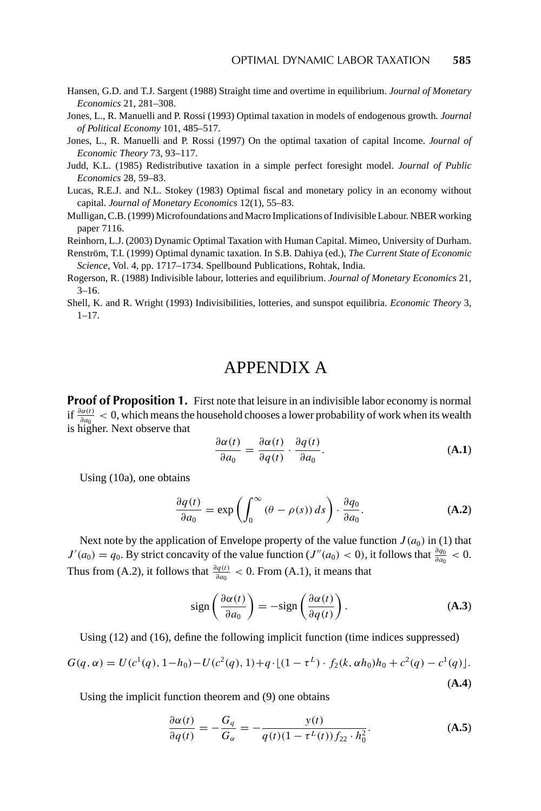- Hansen, G.D. and T.J. Sargent (1988) Straight time and overtime in equilibrium. *Journal of Monetary Economics* 21, 281–308.
- Jones, L., R. Manuelli and P. Rossi (1993) Optimal taxation in models of endogenous growth*. Journal of Political Economy* 101, 485–517.
- Jones, L., R. Manuelli and P. Rossi (1997) On the optimal taxation of capital Income. *Journal of Economic Theory* 73, 93–117.
- Judd, K.L. (1985) Redistributive taxation in a simple perfect foresight model. *Journal of Public Economics* 28, 59–83.
- Lucas, R.E.J. and N.L. Stokey (1983) Optimal fiscal and monetary policy in an economy without capital. *Journal of Monetary Economics* 12(1), 55–83.
- Mulligan, C.B. (1999) Microfoundations and Macro Implications of Indivisible Labour. NBER working paper 7116.
- Reinhorn, L.J. (2003) Dynamic Optimal Taxation with Human Capital. Mimeo, University of Durham.
- Renström, T.I. (1999) Optimal dynamic taxation. In S.B. Dahiya (ed.), The Current State of Economic *Science*, Vol. 4, pp. 1717–1734. Spellbound Publications, Rohtak, India.
- Rogerson, R. (1988) Indivisible labour, lotteries and equilibrium. *Journal of Monetary Economics* 21, 3–16.
- Shell, K. and R. Wright (1993) Indivisibilities, lotteries, and sunspot equilibria. *Economic Theory* 3, 1–17.

## APPENDIX A

**Proof of Proposition 1.** First note that leisure in an indivisible labor economy is normal  $\int_{\frac{\partial a(t)}{\partial a_0}}$  < 0, which means the household chooses a lower probability of work when its wealth is higher. Next observe that

$$
\frac{\partial \alpha(t)}{\partial a_0} = \frac{\partial \alpha(t)}{\partial q(t)} \cdot \frac{\partial q(t)}{\partial a_0}.
$$
 (A.1)

Using (10a), one obtains

$$
\frac{\partial q(t)}{\partial a_0} = \exp\left(\int_0^\infty (\theta - \rho(s)) ds\right) \cdot \frac{\partial q_0}{\partial a_0}.\tag{A.2}
$$

Next note by the application of Envelope property of the value function  $J(a_0)$  in (1) that  $J'(a_0) = q_0$ . By strict concavity of the value function (*J''*( $a_0$ ) < 0), it follows that  $\frac{\partial q_0}{\partial a_0}$  < 0. Thus from (A.2), it follows that  $\frac{\partial q(t)}{\partial q_0} < 0$ . From (A.1), it means that

$$
\operatorname{sign}\left(\frac{\partial \alpha(t)}{\partial a_0}\right) = -\operatorname{sign}\left(\frac{\partial \alpha(t)}{\partial q(t)}\right). \tag{A.3}
$$

Using (12) and (16), define the following implicit function (time indices suppressed)

$$
G(q, \alpha) = U(c^1(q), 1 - h_0) - U(c^2(q), 1) + q \cdot \lfloor (1 - \tau^L) \cdot f_2(k, \alpha h_0) h_0 + c^2(q) - c^1(q) \rfloor.
$$
\n(A.4)

Using the implicit function theorem and (9) one obtains

$$
\frac{\partial \alpha(t)}{\partial q(t)} = -\frac{G_q}{G_\alpha} = -\frac{y(t)}{q(t)(1 - \tau^L(t))f_{22} \cdot h_0^2}.
$$
 (A.5)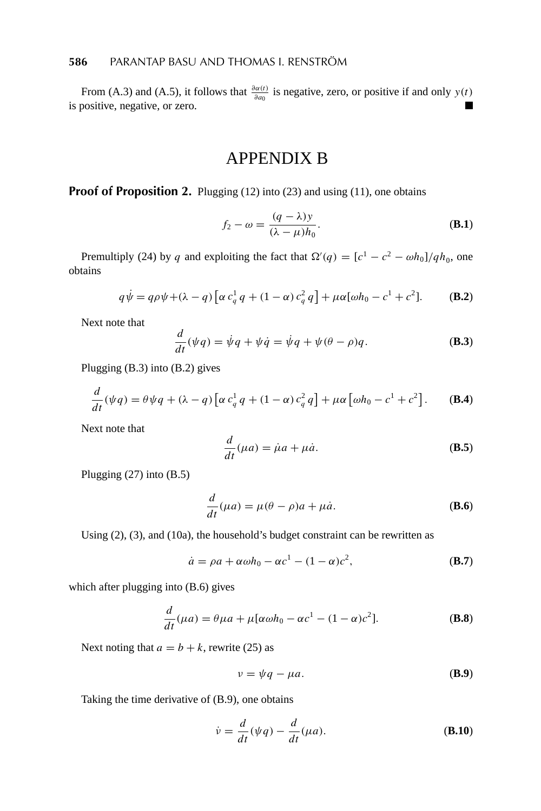From (A.3) and (A.5), it follows that  $\frac{\partial \alpha(t)}{\partial a_0}$  is negative, zero, or positive if and only  $y(t)$ is positive, negative, or zero.

## APPENDIX B

**Proof of Proposition 2.** Plugging (12) into (23) and using (11), one obtains

$$
f_2 - \omega = \frac{(q - \lambda)y}{(\lambda - \mu)h_0}.
$$
 (B.1)

Premultiply (24) by *q* and exploiting the fact that  $\Omega'(q) = [c^1 - c^2 - \omega h_0]/qh_0$ , one obtains

$$
q\dot{\psi} = q\rho\psi + (\lambda - q) \left[ \alpha c_q^1 q + (1 - \alpha) c_q^2 q \right] + \mu \alpha [\omega h_0 - c^1 + c^2].
$$
 (B.2)

Next note that

$$
\frac{d}{dt}(\psi q) = \dot{\psi}q + \psi \dot{q} = \dot{\psi}q + \psi(\theta - \rho)q.
$$
 (B.3)

Plugging (B.3) into (B.2) gives

$$
\frac{d}{dt}(\psi q) = \theta \psi q + (\lambda - q) \left[ \alpha c_q^1 q + (1 - \alpha) c_q^2 q \right] + \mu \alpha \left[ \omega h_0 - c^1 + c^2 \right].
$$
 (B.4)

Next note that

$$
\frac{d}{dt}(\mu a) = \dot{\mu}a + \mu \dot{a}.
$$
 (B.5)

Plugging (27) into (B.5)

$$
\frac{d}{dt}(\mu a) = \mu(\theta - \rho)a + \mu \dot{a}.
$$
 (B.6)

Using (2), (3), and (10a), the household's budget constraint can be rewritten as

$$
\dot{a} = \rho a + \alpha \omega h_0 - \alpha c^1 - (1 - \alpha) c^2, \tag{B.7}
$$

which after plugging into (B.6) gives

$$
\frac{d}{dt}(\mu a) = \theta \mu a + \mu[\alpha \omega h_0 - \alpha c^1 - (1 - \alpha)c^2].
$$
\n(B.8)

Next noting that  $a = b + k$ , rewrite (25) as

$$
v = \psi q - \mu a. \tag{B.9}
$$

Taking the time derivative of (B.9), one obtains

$$
\dot{\nu} = \frac{d}{dt}(\psi q) - \frac{d}{dt}(\mu a). \tag{B.10}
$$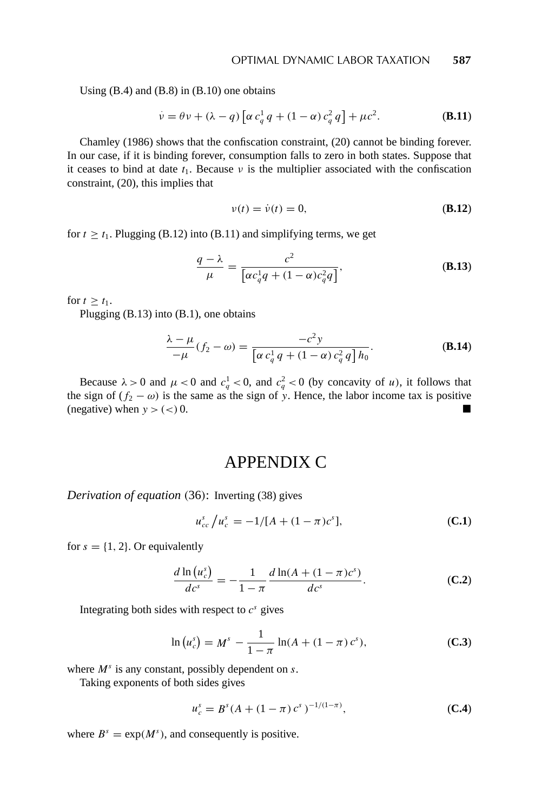Using  $(B.4)$  and  $(B.8)$  in  $(B.10)$  one obtains

$$
\dot{\nu} = \theta \nu + (\lambda - q) \left[ \alpha c_q^1 q + (1 - \alpha) c_q^2 q \right] + \mu c^2.
$$
 (B.11)

Chamley (1986) shows that the confiscation constraint, (20) cannot be binding forever. In our case, if it is binding forever, consumption falls to zero in both states. Suppose that it ceases to bind at date  $t_1$ . Because  $\nu$  is the multiplier associated with the confiscation constraint, (20), this implies that

$$
v(t) = \dot{v}(t) = 0,\tag{B.12}
$$

for  $t > t_1$ . Plugging (B.12) into (B.11) and simplifying terms, we get

$$
\frac{q-\lambda}{\mu} = \frac{c^2}{\left[\alpha c_q^1 q + (1-\alpha)c_q^2 q\right]},
$$
\n(B.13)

for  $t \geq t_1$ .

Plugging (B.13) into (B.1), one obtains

$$
\frac{\lambda - \mu}{-\mu} (f_2 - \omega) = \frac{-c^2 y}{\left[\alpha c_q^1 q + (1 - \alpha) c_q^2 q\right] h_0}.
$$
\n(B.14)

Because  $\lambda > 0$  and  $\mu < 0$  and  $c_q^1 < 0$ , and  $c_q^2 < 0$  (by concavity of *u*), it follows that the sign of  $(f_2 - \omega)$  is the same as the sign of y. Hence, the labor income tax is positive (negative) when  $y > (<) 0$ .

## APPENDIX C

*Derivation of equation (*36*)*: Inverting (38) gives

$$
u_{cc}^s / u_c^s = -1/[A + (1 - \pi)c^s],
$$
 (C.1)

for  $s = \{1, 2\}$ . Or equivalently

$$
\frac{d \ln (u_c^s)}{d c^s} = -\frac{1}{1 - \pi} \frac{d \ln (A + (1 - \pi) c^s)}{d c^s}.
$$
 (C.2)

Integrating both sides with respect to  $c^s$  gives

$$
\ln(u_c^s) = M^s - \frac{1}{1 - \pi} \ln(A + (1 - \pi) c^s),
$$
 (C.3)

where *M<sup>s</sup>* is any constant, possibly dependent on *s*.

Taking exponents of both sides gives

$$
u_c^s = B^s (A + (1 - \pi) c^s)^{-1/(1 - \pi)}, \tag{C.4}
$$

where  $B^s = \exp(M^s)$ , and consequently is positive.